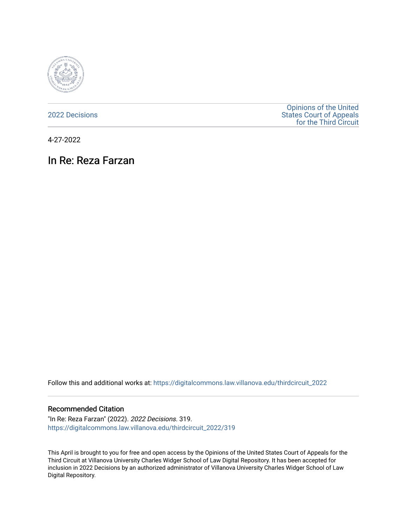

[2022 Decisions](https://digitalcommons.law.villanova.edu/thirdcircuit_2022)

[Opinions of the United](https://digitalcommons.law.villanova.edu/thirdcircuit)  [States Court of Appeals](https://digitalcommons.law.villanova.edu/thirdcircuit)  [for the Third Circuit](https://digitalcommons.law.villanova.edu/thirdcircuit) 

4-27-2022

# In Re: Reza Farzan

Follow this and additional works at: [https://digitalcommons.law.villanova.edu/thirdcircuit\\_2022](https://digitalcommons.law.villanova.edu/thirdcircuit_2022?utm_source=digitalcommons.law.villanova.edu%2Fthirdcircuit_2022%2F319&utm_medium=PDF&utm_campaign=PDFCoverPages) 

#### Recommended Citation

"In Re: Reza Farzan" (2022). 2022 Decisions. 319. [https://digitalcommons.law.villanova.edu/thirdcircuit\\_2022/319](https://digitalcommons.law.villanova.edu/thirdcircuit_2022/319?utm_source=digitalcommons.law.villanova.edu%2Fthirdcircuit_2022%2F319&utm_medium=PDF&utm_campaign=PDFCoverPages)

This April is brought to you for free and open access by the Opinions of the United States Court of Appeals for the Third Circuit at Villanova University Charles Widger School of Law Digital Repository. It has been accepted for inclusion in 2022 Decisions by an authorized administrator of Villanova University Charles Widger School of Law Digital Repository.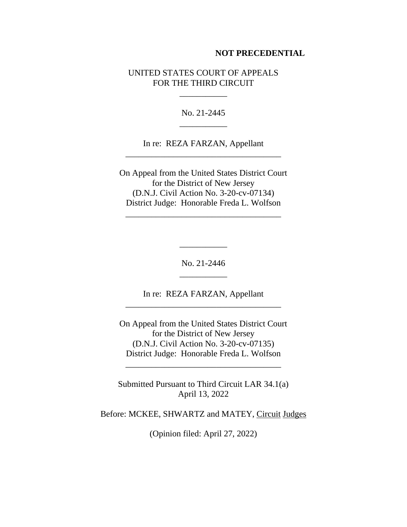#### **NOT PRECEDENTIAL**

### UNITED STATES COURT OF APPEALS FOR THE THIRD CIRCUIT

\_\_\_\_\_\_\_\_\_\_\_

No. 21-2445 \_\_\_\_\_\_\_\_\_\_\_

In re: REZA FARZAN, Appellant \_\_\_\_\_\_\_\_\_\_\_\_\_\_\_\_\_\_\_\_\_\_\_\_\_\_\_\_\_\_\_\_\_\_\_\_

On Appeal from the United States District Court for the District of New Jersey (D.N.J. Civil Action No. 3-20-cv-07134) District Judge: Honorable Freda L. Wolfson

\_\_\_\_\_\_\_\_\_\_\_\_\_\_\_\_\_\_\_\_\_\_\_\_\_\_\_\_\_\_\_\_\_\_\_\_

No. 21-2446 \_\_\_\_\_\_\_\_\_\_\_

\_\_\_\_\_\_\_\_\_\_\_

In re: REZA FARZAN, Appellant \_\_\_\_\_\_\_\_\_\_\_\_\_\_\_\_\_\_\_\_\_\_\_\_\_\_\_\_\_\_\_\_\_\_\_\_

On Appeal from the United States District Court for the District of New Jersey (D.N.J. Civil Action No. 3-20-cv-07135) District Judge: Honorable Freda L. Wolfson

Submitted Pursuant to Third Circuit LAR 34.1(a) April 13, 2022

\_\_\_\_\_\_\_\_\_\_\_\_\_\_\_\_\_\_\_\_\_\_\_\_\_\_\_\_\_\_\_\_\_\_\_\_

Before: MCKEE, SHWARTZ and MATEY, Circuit Judges

(Opinion filed: April 27, 2022)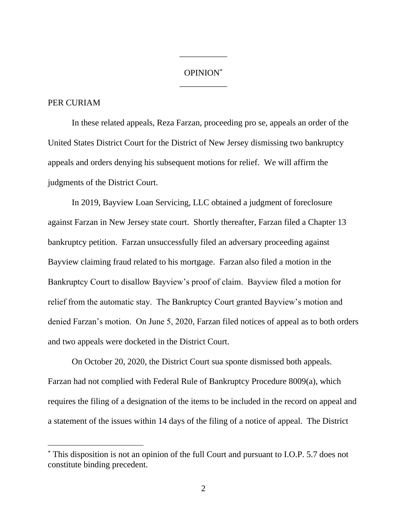## OPINION\* \_\_\_\_\_\_\_\_\_\_\_

\_\_\_\_\_\_\_\_\_\_\_

## PER CURIAM

In these related appeals, Reza Farzan, proceeding pro se, appeals an order of the United States District Court for the District of New Jersey dismissing two bankruptcy appeals and orders denying his subsequent motions for relief. We will affirm the judgments of the District Court.

In 2019, Bayview Loan Servicing, LLC obtained a judgment of foreclosure against Farzan in New Jersey state court. Shortly thereafter, Farzan filed a Chapter 13 bankruptcy petition. Farzan unsuccessfully filed an adversary proceeding against Bayview claiming fraud related to his mortgage. Farzan also filed a motion in the Bankruptcy Court to disallow Bayview's proof of claim. Bayview filed a motion for relief from the automatic stay. The Bankruptcy Court granted Bayview's motion and denied Farzan's motion. On June 5, 2020, Farzan filed notices of appeal as to both orders and two appeals were docketed in the District Court.

On October 20, 2020, the District Court sua sponte dismissed both appeals. Farzan had not complied with Federal Rule of Bankruptcy Procedure 8009(a), which requires the filing of a designation of the items to be included in the record on appeal and a statement of the issues within 14 days of the filing of a notice of appeal. The District

<sup>\*</sup> This disposition is not an opinion of the full Court and pursuant to I.O.P. 5.7 does not constitute binding precedent.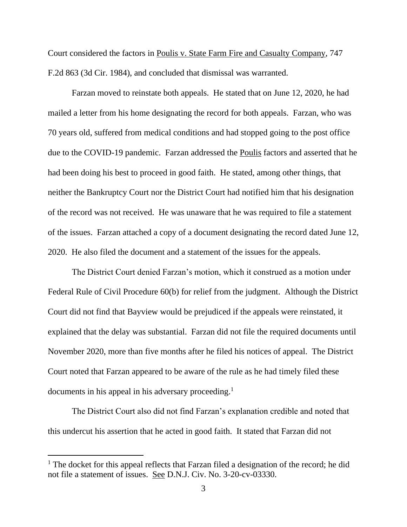Court considered the factors in Poulis v. State Farm Fire and Casualty Company, 747 F.2d 863 (3d Cir. 1984), and concluded that dismissal was warranted.

Farzan moved to reinstate both appeals. He stated that on June 12, 2020, he had mailed a letter from his home designating the record for both appeals. Farzan, who was 70 years old, suffered from medical conditions and had stopped going to the post office due to the COVID-19 pandemic. Farzan addressed the Poulis factors and asserted that he had been doing his best to proceed in good faith. He stated, among other things, that neither the Bankruptcy Court nor the District Court had notified him that his designation of the record was not received. He was unaware that he was required to file a statement of the issues. Farzan attached a copy of a document designating the record dated June 12, 2020. He also filed the document and a statement of the issues for the appeals.

The District Court denied Farzan's motion, which it construed as a motion under Federal Rule of Civil Procedure 60(b) for relief from the judgment. Although the District Court did not find that Bayview would be prejudiced if the appeals were reinstated, it explained that the delay was substantial. Farzan did not file the required documents until November 2020, more than five months after he filed his notices of appeal. The District Court noted that Farzan appeared to be aware of the rule as he had timely filed these documents in his appeal in his adversary proceeding.<sup>1</sup>

The District Court also did not find Farzan's explanation credible and noted that this undercut his assertion that he acted in good faith. It stated that Farzan did not

<sup>&</sup>lt;sup>1</sup> The docket for this appeal reflects that Farzan filed a designation of the record; he did not file a statement of issues. See D.N.J. Civ. No. 3-20-cv-03330.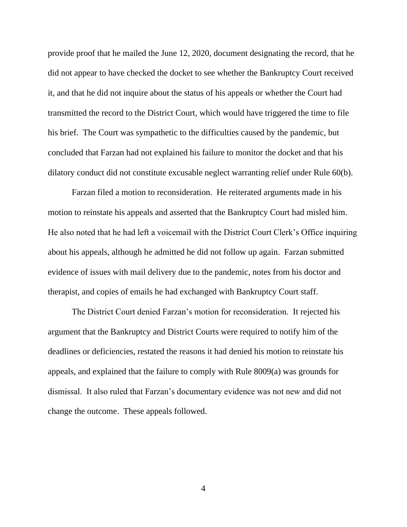provide proof that he mailed the June 12, 2020, document designating the record, that he did not appear to have checked the docket to see whether the Bankruptcy Court received it, and that he did not inquire about the status of his appeals or whether the Court had transmitted the record to the District Court, which would have triggered the time to file his brief. The Court was sympathetic to the difficulties caused by the pandemic, but concluded that Farzan had not explained his failure to monitor the docket and that his dilatory conduct did not constitute excusable neglect warranting relief under Rule 60(b).

Farzan filed a motion to reconsideration. He reiterated arguments made in his motion to reinstate his appeals and asserted that the Bankruptcy Court had misled him. He also noted that he had left a voicemail with the District Court Clerk's Office inquiring about his appeals, although he admitted he did not follow up again. Farzan submitted evidence of issues with mail delivery due to the pandemic, notes from his doctor and therapist, and copies of emails he had exchanged with Bankruptcy Court staff.

The District Court denied Farzan's motion for reconsideration. It rejected his argument that the Bankruptcy and District Courts were required to notify him of the deadlines or deficiencies, restated the reasons it had denied his motion to reinstate his appeals, and explained that the failure to comply with Rule 8009(a) was grounds for dismissal. It also ruled that Farzan's documentary evidence was not new and did not change the outcome. These appeals followed.

4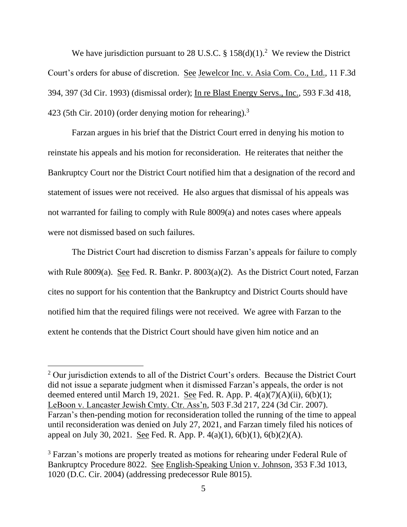We have jurisdiction pursuant to 28 U.S.C. §  $158(d)(1)$ .<sup>2</sup> We review the District Court's orders for abuse of discretion. See Jewelcor Inc. v. Asia Com. Co., Ltd., 11 F.3d 394, 397 (3d Cir. 1993) (dismissal order); In re Blast Energy Servs., Inc., 593 F.3d 418, 423 (5th Cir. 2010) (order denying motion for rehearing). $3$ 

Farzan argues in his brief that the District Court erred in denying his motion to reinstate his appeals and his motion for reconsideration. He reiterates that neither the Bankruptcy Court nor the District Court notified him that a designation of the record and statement of issues were not received. He also argues that dismissal of his appeals was not warranted for failing to comply with Rule 8009(a) and notes cases where appeals were not dismissed based on such failures.

The District Court had discretion to dismiss Farzan's appeals for failure to comply with Rule 8009(a). See Fed. R. Bankr. P.  $8003(a)(2)$ . As the District Court noted, Farzan cites no support for his contention that the Bankruptcy and District Courts should have notified him that the required filings were not received. We agree with Farzan to the extent he contends that the District Court should have given him notice and an

 $2$  Our jurisdiction extends to all of the District Court's orders. Because the District Court did not issue a separate judgment when it dismissed Farzan's appeals, the order is not deemed entered until March 19, 2021. See Fed. R. App. P.  $4(a)(7)(A)(ii)$ ,  $6(b)(1)$ ; LeBoon v. Lancaster Jewish Cmty. Ctr. Ass'n, 503 F.3d 217, 224 (3d Cir. 2007). Farzan's then-pending motion for reconsideration tolled the running of the time to appeal until reconsideration was denied on July 27, 2021, and Farzan timely filed his notices of appeal on July 30, 2021. See Fed. R. App. P.  $4(a)(1)$ ,  $6(b)(1)$ ,  $6(b)(2)(A)$ .

<sup>&</sup>lt;sup>3</sup> Farzan's motions are properly treated as motions for rehearing under Federal Rule of Bankruptcy Procedure 8022. See English-Speaking Union v. Johnson, 353 F.3d 1013, 1020 (D.C. Cir. 2004) (addressing predecessor Rule 8015).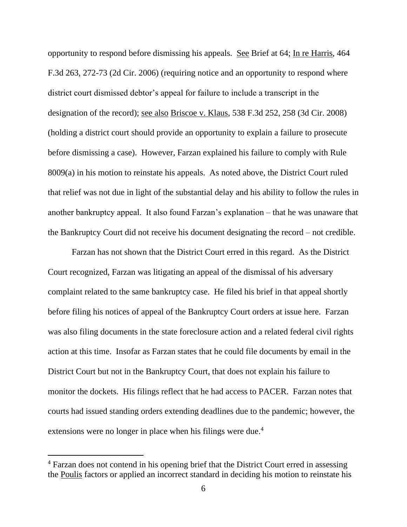opportunity to respond before dismissing his appeals. See Brief at 64; In re Harris, 464 F.3d 263, 272-73 (2d Cir. 2006) (requiring notice and an opportunity to respond where district court dismissed debtor's appeal for failure to include a transcript in the designation of the record); see also Briscoe v. Klaus, 538 F.3d 252, 258 (3d Cir. 2008) (holding a district court should provide an opportunity to explain a failure to prosecute before dismissing a case). However, Farzan explained his failure to comply with Rule 8009(a) in his motion to reinstate his appeals. As noted above, the District Court ruled that relief was not due in light of the substantial delay and his ability to follow the rules in another bankruptcy appeal. It also found Farzan's explanation – that he was unaware that the Bankruptcy Court did not receive his document designating the record – not credible.

Farzan has not shown that the District Court erred in this regard. As the District Court recognized, Farzan was litigating an appeal of the dismissal of his adversary complaint related to the same bankruptcy case. He filed his brief in that appeal shortly before filing his notices of appeal of the Bankruptcy Court orders at issue here. Farzan was also filing documents in the state foreclosure action and a related federal civil rights action at this time. Insofar as Farzan states that he could file documents by email in the District Court but not in the Bankruptcy Court, that does not explain his failure to monitor the dockets. His filings reflect that he had access to PACER. Farzan notes that courts had issued standing orders extending deadlines due to the pandemic; however, the extensions were no longer in place when his filings were due.<sup>4</sup>

<sup>&</sup>lt;sup>4</sup> Farzan does not contend in his opening brief that the District Court erred in assessing the Poulis factors or applied an incorrect standard in deciding his motion to reinstate his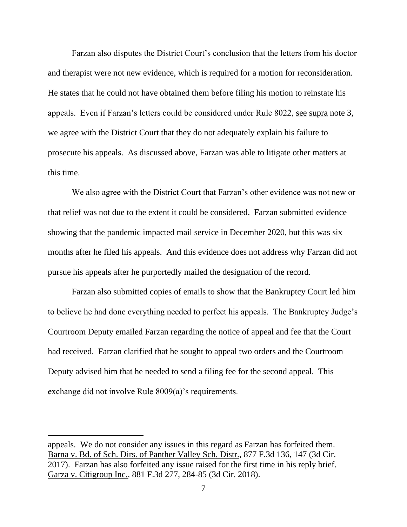Farzan also disputes the District Court's conclusion that the letters from his doctor and therapist were not new evidence, which is required for a motion for reconsideration. He states that he could not have obtained them before filing his motion to reinstate his appeals. Even if Farzan's letters could be considered under Rule 8022, see supra note 3, we agree with the District Court that they do not adequately explain his failure to prosecute his appeals. As discussed above, Farzan was able to litigate other matters at this time.

We also agree with the District Court that Farzan's other evidence was not new or that relief was not due to the extent it could be considered. Farzan submitted evidence showing that the pandemic impacted mail service in December 2020, but this was six months after he filed his appeals. And this evidence does not address why Farzan did not pursue his appeals after he purportedly mailed the designation of the record.

Farzan also submitted copies of emails to show that the Bankruptcy Court led him to believe he had done everything needed to perfect his appeals. The Bankruptcy Judge's Courtroom Deputy emailed Farzan regarding the notice of appeal and fee that the Court had received. Farzan clarified that he sought to appeal two orders and the Courtroom Deputy advised him that he needed to send a filing fee for the second appeal. This exchange did not involve Rule 8009(a)'s requirements.

appeals. We do not consider any issues in this regard as Farzan has forfeited them. Barna v. Bd. of Sch. Dirs. of Panther Valley Sch. Distr., 877 F.3d 136, 147 (3d Cir. 2017). Farzan has also forfeited any issue raised for the first time in his reply brief. Garza v. Citigroup Inc., 881 F.3d 277, 284-85 (3d Cir. 2018).